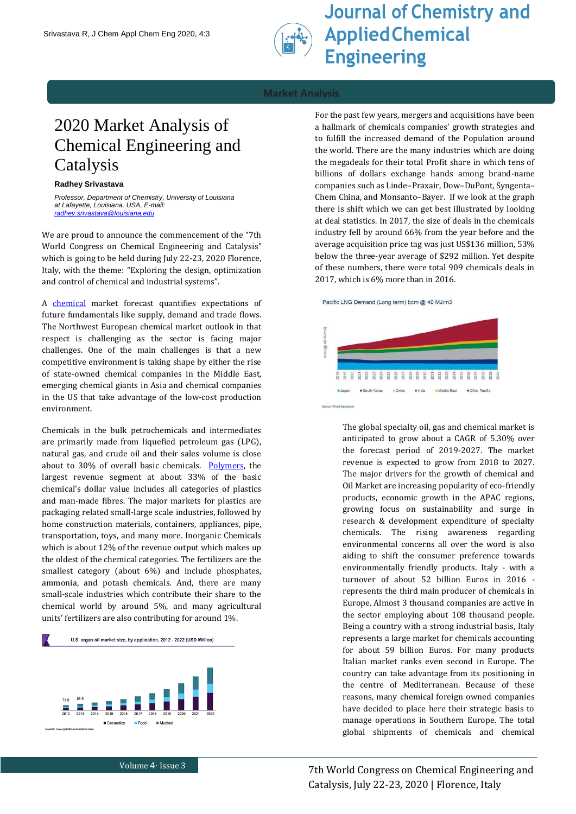

**Journal of Chemistry and Applied Chemical Engineering** 

## **Market Analysis**

# 2020 Market Analysis of Chemical Engineering and Catalysis

### **Radhey Srivastava**

*Professor, Department of Chemistry, University of Louisiana at Lafayette, Louisiana, USA, E-mail: [radhey.srivastava@louisiana.edu](mailto:radhey.srivastava@louisiana.edu)*

We are proud to announce the commencement of the "7th World Congress on Chemical Engineering and Catalysis" which is going to be held during July 22-23, 2020 Florence, Italy, with the theme: "Exploring the design, optimization and control of chemical and industrial systems".

A [chemical](https://chemicalengineering.annualcongress.com/events-list/chemical-engineering-a-unit-operation) market forecast quantifies expectations of future fundamentals like supply, demand and trade flows. The Northwest European chemical market outlook in that respect is challenging as the sector is facing major challenges. One of the main challenges is that a new competitive environment is taking shape by either the rise of state-owned chemical companies in the Middle East, emerging chemical giants in Asia and chemical companies in the US that take advantage of the low-cost production environment.

Chemicals in the bulk petrochemicals and intermediates are primarily made from liquefied petroleum gas (LPG), natural gas, and crude oil and their sales volume is close about to 30% of overall basic chemicals. [Polymers,](https://chemicalengineering.annualcongress.com/events-list/polymer-science-and-engineering) the largest revenue segment at about 33% of the basic chemical's dollar value includes all categories of plastics and man-made fibres. The major markets for plastics are packaging related small-large scale industries, followed by home construction materials, containers, appliances, pipe, transportation, toys, and many more. Inorganic Chemicals which is about 12% of the revenue output which makes up the oldest of the chemical categories. The fertilizers are the smallest category (about 6%) and include phosphates, ammonia, and potash chemicals. And, there are many small-scale industries which contribute their share to the chemical world by around 5%, and many agricultural units' fertilizers are also contributing for around 1%.



Food

 $\blacksquare$  Cosmetics

For the past few years, mergers and acquisitions have been a hallmark of chemicals companies' growth strategies and to fulfill the increased demand of the Population around the world. There are the many industries which are doing the megadeals for their total Profit share in which tens of billions of dollars exchange hands among brand-name companies such as Linde–Praxair, Dow–DuPont, Syngenta– Chem China, and Monsanto–Bayer. If we look at the graph there is shift which we can get best illustrated by looking at deal statistics. In 2017, the size of deals in the chemicals industry fell by around 66% from the year before and the average acquisition price tag was just US\$136 million, 53% below the three-year average of \$292 million. Yet despite of these numbers, there were total 909 chemicals deals in 2017, which is 6% more than in 2016.

Pacific LNG Demand (Long term) bcm @ 40 MJ/m3



The global specialty oil, gas and chemical market is anticipated to grow about a CAGR of 5.30% over the forecast period of 2019-2027. The market revenue is expected to grow from 2018 to 2027. The major drivers for the growth of chemical and Oil Market are increasing popularity of eco-friendly products, economic growth in the APAC regions, growing focus on sustainability and surge in research & development expenditure of specialty chemicals. The rising awareness regarding environmental concerns all over the word is also aiding to shift the consumer preference towards environmentally friendly products. Italy - with a turnover of about 52 billion Euros in 2016 represents the third main producer of chemicals in Europe. Almost 3 thousand companies are active in the sector employing about 108 thousand people. Being a country with a strong industrial basis, Italy represents a large market for chemicals accounting for about 59 billion Euros. For many products Italian market ranks even second in Europe. The country can take advantage from its positioning in the centre of Mediterranean. Because of these reasons, many chemical foreign owned companies have decided to place here their strategic basis to manage operations in Southern Europe. The total global shipments of chemicals and chemical

Medica